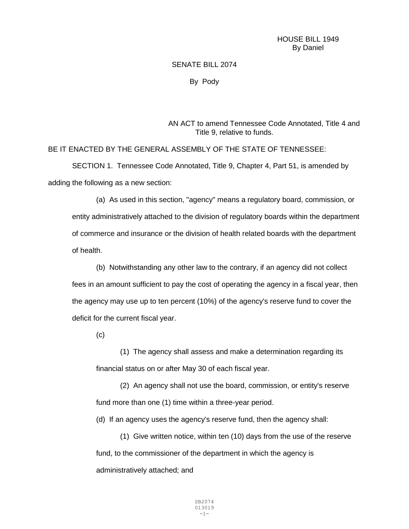## SENATE BILL 2074

By Pody

AN ACT to amend Tennessee Code Annotated, Title 4 and Title 9, relative to funds.

BE IT ENACTED BY THE GENERAL ASSEMBLY OF THE STATE OF TENNESSEE: SECTION 1. Tennessee Code Annotated, Title 9, Chapter 4, Part 51, is amended by adding the following as a new section:

(a) As used in this section, "agency" means a regulatory board, commission, or entity administratively attached to the division of regulatory boards within the department of commerce and insurance or the division of health related boards with the department of health.

(b) Notwithstanding any other law to the contrary, if an agency did not collect fees in an amount sufficient to pay the cost of operating the agency in a fiscal year, then the agency may use up to ten percent (10%) of the agency's reserve fund to cover the deficit for the current fiscal year.

(c)

(1) The agency shall assess and make a determination regarding its financial status on or after May 30 of each fiscal year.

(2) An agency shall not use the board, commission, or entity's reserve fund more than one (1) time within a three-year period.

(d) If an agency uses the agency's reserve fund, then the agency shall:

(1) Give written notice, within ten (10) days from the use of the reserve fund, to the commissioner of the department in which the agency is administratively attached; and